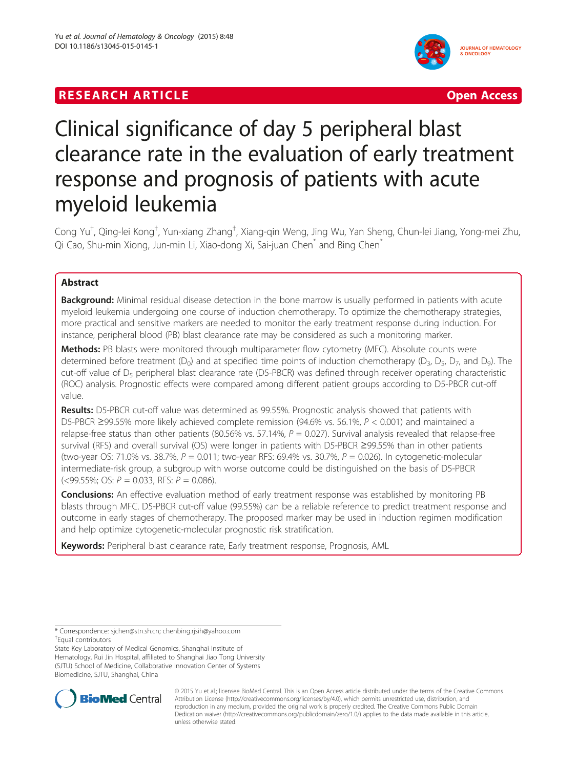# **RESEARCH ARTICLE EXECUTE: CONSIDERING A RESEARCH ARTICLE**



# Clinical significance of day 5 peripheral blast clearance rate in the evaluation of early treatment response and prognosis of patients with acute myeloid leukemia

Cong Yu<sup>†</sup>, Qing-lei Kong<sup>†</sup>, Yun-xiang Zhang<sup>†</sup>, Xiang-qin Weng, Jing Wu, Yan Sheng, Chun-lei Jiang, Yong-mei Zhu, Qi Cao, Shu-min Xiong, Jun-min Li, Xiao-dong Xi, Sai-juan Chen<sup>\*</sup> and Bing Chen<sup>\*</sup>

# Abstract

Background: Minimal residual disease detection in the bone marrow is usually performed in patients with acute myeloid leukemia undergoing one course of induction chemotherapy. To optimize the chemotherapy strategies, more practical and sensitive markers are needed to monitor the early treatment response during induction. For instance, peripheral blood (PB) blast clearance rate may be considered as such a monitoring marker.

Methods: PB blasts were monitored through multiparameter flow cytometry (MFC). Absolute counts were determined before treatment ( $D_0$ ) and at specified time points of induction chemotherapy ( $D_3$ ,  $D_5$ ,  $D_7$ , and  $D_9$ ). The cut-off value of  $D_5$  peripheral blast clearance rate (D5-PBCR) was defined through receiver operating characteristic (ROC) analysis. Prognostic effects were compared among different patient groups according to D5-PBCR cut-off value.

Results: D5-PBCR cut-off value was determined as 99.55%. Prognostic analysis showed that patients with D5-PBCR ≥99.55% more likely achieved complete remission (94.6% vs. 56.1%, P < 0.001) and maintained a relapse-free status than other patients (80.56% vs. 57.14%,  $P = 0.027$ ). Survival analysis revealed that relapse-free survival (RFS) and overall survival (OS) were longer in patients with D5-PBCR ≥99.55% than in other patients (two-year OS: 71.0% vs. 38.7%,  $P = 0.011$ ; two-year RFS: 69.4% vs. 30.7%,  $P = 0.026$ ). In cytogenetic-molecular intermediate-risk group, a subgroup with worse outcome could be distinguished on the basis of D5-PBCR  $(<$ 99.55%; OS:  $P = 0.033$ , RFS:  $P = 0.086$ ).

**Conclusions:** An effective evaluation method of early treatment response was established by monitoring PB blasts through MFC. D5-PBCR cut-off value (99.55%) can be a reliable reference to predict treatment response and outcome in early stages of chemotherapy. The proposed marker may be used in induction regimen modification and help optimize cytogenetic-molecular prognostic risk stratification.

Keywords: Peripheral blast clearance rate, Early treatment response, Prognosis, AML

Equal contributors

State Key Laboratory of Medical Genomics, Shanghai Institute of Hematology, Rui Jin Hospital, affiliated to Shanghai Jiao Tong University (SJTU) School of Medicine, Collaborative Innovation Center of Systems Biomedicine, SJTU, Shanghai, China



© 2015 Yu et al.; licensee BioMed Central. This is an Open Access article distributed under the terms of the Creative Commons Attribution License (<http://creativecommons.org/licenses/by/4.0>), which permits unrestricted use, distribution, and reproduction in any medium, provided the original work is properly credited. The Creative Commons Public Domain Dedication waiver [\(http://creativecommons.org/publicdomain/zero/1.0/](http://creativecommons.org/publicdomain/zero/1.0/)) applies to the data made available in this article, unless otherwise stated.

<sup>\*</sup> Correspondence: [sjchen@stn.sh.cn;](mailto:sjchen@stn.sh.cn) [chenbing.rjsih@yahoo.com](mailto:chenbing.rjsih@yahoo.com) †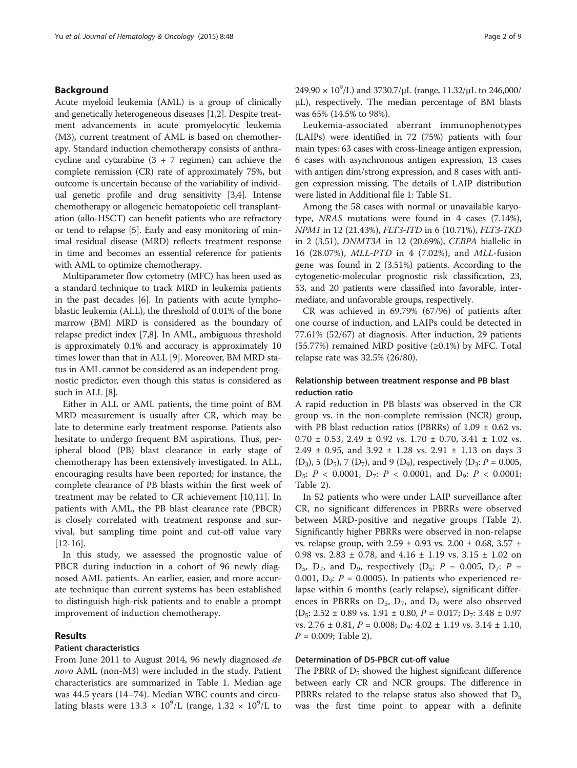### Background

Acute myeloid leukemia (AML) is a group of clinically and genetically heterogeneous diseases [[1](#page-7-0),[2](#page-7-0)]. Despite treatment advancements in acute promyelocytic leukemia (M3), current treatment of AML is based on chemotherapy. Standard induction chemotherapy consists of anthracycline and cytarabine  $(3 + 7 \text{ regime})$  can achieve the complete remission (CR) rate of approximately 75%, but outcome is uncertain because of the variability of individual genetic profile and drug sensitivity [[3,4\]](#page-7-0). Intense chemotherapy or allogeneic hematopoietic cell transplantation (allo-HSCT) can benefit patients who are refractory or tend to relapse [[5\]](#page-7-0). Early and easy monitoring of minimal residual disease (MRD) reflects treatment response in time and becomes an essential reference for patients with AML to optimize chemotherapy.

Multiparameter flow cytometry (MFC) has been used as a standard technique to track MRD in leukemia patients in the past decades [[6](#page-7-0)]. In patients with acute lymphoblastic leukemia (ALL), the threshold of 0.01% of the bone marrow (BM) MRD is considered as the boundary of relapse predict index [\[7,8\]](#page-7-0). In AML, ambiguous threshold is approximately 0.1% and accuracy is approximately 10 times lower than that in ALL [\[9](#page-7-0)]. Moreover, BM MRD status in AML cannot be considered as an independent prognostic predictor, even though this status is considered as such in ALL [[8\]](#page-7-0).

Either in ALL or AML patients, the time point of BM MRD measurement is usually after CR, which may be late to determine early treatment response. Patients also hesitate to undergo frequent BM aspirations. Thus, peripheral blood (PB) blast clearance in early stage of chemotherapy has been extensively investigated. In ALL, encouraging results have been reported; for instance, the complete clearance of PB blasts within the first week of treatment may be related to CR achievement [\[10,11\]](#page-7-0). In patients with AML, the PB blast clearance rate (PBCR) is closely correlated with treatment response and survival, but sampling time point and cut-off value vary [[12-16](#page-7-0)].

In this study, we assessed the prognostic value of PBCR during induction in a cohort of 96 newly diagnosed AML patients. An earlier, easier, and more accurate technique than current systems has been established to distinguish high-risk patients and to enable a prompt improvement of induction chemotherapy.

# Results

# Patient characteristics

From June 2011 to August 2014, 96 newly diagnosed de novo AML (non-M3) were included in the study. Patient characteristics are summarized in Table [1.](#page-2-0) Median age was 44.5 years (14–74). Median WBC counts and circulating blasts were  $13.3 \times 10^9$ /L (range,  $1.32 \times 10^9$ /L to

249.90 ×  $10^9$ /L) and 3730.7/μL (range, 11.32/μL to 246,000/ μL), respectively. The median percentage of BM blasts was 65% (14.5% to 98%).

Leukemia-associated aberrant immunophenotypes (LAIPs) were identified in 72 (75%) patients with four main types: 63 cases with cross-lineage antigen expression, 6 cases with asynchronous antigen expression, 13 cases with antigen dim/strong expression, and 8 cases with antigen expression missing. The details of LAIP distribution were listed in Additional file [1:](#page-6-0) Table S1.

Among the 58 cases with normal or unavailable karyotype, NRAS mutations were found in 4 cases (7.14%), NPM1 in 12 (21.43%), FLT3-ITD in 6 (10.71%), FLT3-TKD in 2 (3.51), DNMT3A in 12 (20.69%), CEBPA biallelic in 16 (28.07%), MLL-PTD in 4 (7.02%), and MLL-fusion gene was found in 2 (3.51%) patients. According to the cytogenetic-molecular prognostic risk classification, 23, 53, and 20 patients were classified into favorable, intermediate, and unfavorable groups, respectively.

CR was achieved in 69.79% (67/96) of patients after one course of induction, and LAIPs could be detected in 77.61% (52/67) at diagnosis. After induction, 29 patients (55.77%) remained MRD positive  $(\geq 0.1\%)$  by MFC. Total relapse rate was 32.5% (26/80).

# Relationship between treatment response and PB blast reduction ratio

A rapid reduction in PB blasts was observed in the CR group vs. in the non-complete remission (NCR) group, with PB blast reduction ratios (PBRRs) of  $1.09 \pm 0.62$  vs.  $0.70 \pm 0.53$ ,  $2.49 \pm 0.92$  vs.  $1.70 \pm 0.70$ ,  $3.41 \pm 1.02$  vs. 2.49 ± 0.95, and 3.92 ± 1.28 vs. 2.91 ± 1.13 on days 3  $(D_3)$ , 5  $(D_5)$ , 7  $(D_7)$ , and 9  $(D_9)$ , respectively  $(D_3: P = 0.005$ ,  $D_5$ :  $P < 0.0001$ ,  $D_7$ :  $P < 0.0001$ , and  $D_9$ :  $P < 0.0001$ ; Table [2](#page-3-0)).

In 52 patients who were under LAIP surveillance after CR, no significant differences in PBRRs were observed between MRD-positive and negative groups (Table [2](#page-3-0)). Significantly higher PBRRs were observed in non-relapse vs. relapse group, with 2.59 ± 0.93 vs. 2.00 ± 0.68, 3.57 ± 0.98 vs. 2.83 ± 0.78, and 4.16 ± 1.19 vs. 3.15 ± 1.02 on  $D_5$ ,  $D_7$ , and  $D_9$ , respectively ( $D_5$ :  $P = 0.005$ ,  $D_7$ :  $P =$ 0.001,  $D_9$ :  $P = 0.0005$ ). In patients who experienced relapse within 6 months (early relapse), significant differences in PBRRs on  $D_5$ ,  $D_7$ , and  $D_9$  were also observed  $(D_5: 2.52 \pm 0.89 \text{ vs. } 1.91 \pm 0.80, P = 0.017; D_7: 3.48 \pm 0.97$ vs.  $2.76 \pm 0.81$ ,  $P = 0.008$ ;  $D_9$ :  $4.02 \pm 1.19$  vs.  $3.14 \pm 1.10$ ,  $P = 0.009$ ; Table [2\)](#page-3-0).

#### Determination of D5-PBCR cut-off value

The PBRR of  $D_5$  showed the highest significant difference between early CR and NCR groups. The difference in PBRRs related to the relapse status also showed that  $D_5$ was the first time point to appear with a definite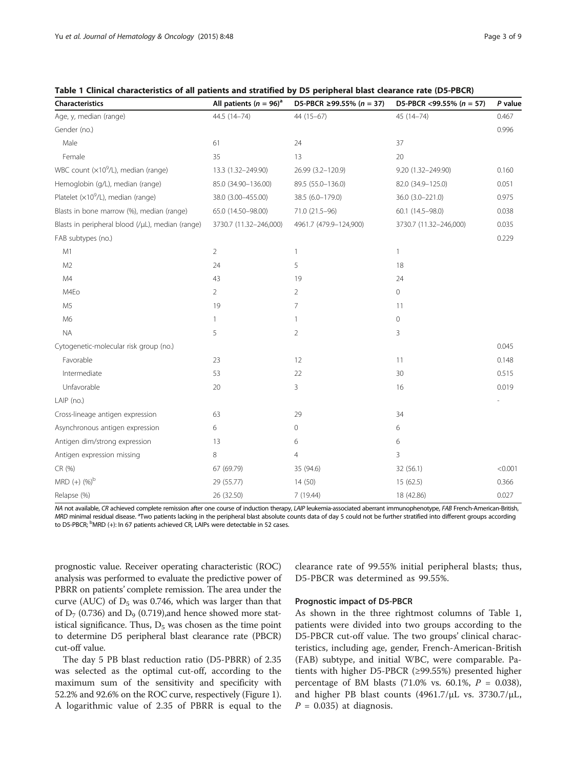<span id="page-2-0"></span>

| Table 1 Clinical characteristics of all patients and stratified by D5 peripheral blast clearance rate (D5-PBCR) |  |  |  |  |
|-----------------------------------------------------------------------------------------------------------------|--|--|--|--|
|-----------------------------------------------------------------------------------------------------------------|--|--|--|--|

| Characteristics                                  | All patients ( $n = 96$ ) <sup>a</sup> | D5-PBCR ≥99.55% ( $n = 37$ ) | D5-PBCR <99.55% ( $n = 57$ ) | P value |
|--------------------------------------------------|----------------------------------------|------------------------------|------------------------------|---------|
| Age, y, median (range)                           | 44.5 (14-74)                           | 44 (15-67)                   | $45(14 - 74)$                | 0.467   |
| Gender (no.)                                     |                                        |                              |                              | 0.996   |
| Male                                             | 61                                     | 24                           | 37                           |         |
| Female                                           | 35                                     | 13                           | 20                           |         |
| WBC count (x10 <sup>9</sup> /L), median (range)  | 13.3 (1.32-249.90)                     | 26.99 (3.2-120.9)            | 9.20 (1.32-249.90)           | 0.160   |
| Hemoglobin (g/L), median (range)                 | 85.0 (34.90-136.00)                    | 89.5 (55.0-136.0)            | 82.0 (34.9-125.0)            | 0.051   |
| Platelet $(x10^9/L)$ , median (range)            | 38.0 (3.00-455.00)                     | 38.5 (6.0-179.0)             | 36.0 (3.0-221.0)             | 0.975   |
| Blasts in bone marrow (%), median (range)        | 65.0 (14.50-98.00)                     | 71.0 (21.5-96)               | 60.1 (14.5-98.0)             | 0.038   |
| Blasts in peripheral blood (/µL), median (range) | 3730.7 (11.32-246,000)                 | 4961.7 (479.9-124,900)       | 3730.7 (11.32-246,000)       | 0.035   |
| FAB subtypes (no.)                               |                                        |                              |                              | 0.229   |
| M1                                               | $\overline{2}$                         | $\mathbf{1}$                 | $\mathbf{1}$                 |         |
| M <sub>2</sub>                                   | 24                                     | 5                            | 18                           |         |
| M <sub>4</sub>                                   | 43                                     | 19                           | 24                           |         |
| M4Eo                                             | $\overline{2}$                         | $\overline{2}$               | 0                            |         |
| M <sub>5</sub>                                   | 19                                     | 7                            | 11                           |         |
| M <sub>6</sub>                                   | 1                                      | 1                            | 0                            |         |
| <b>NA</b>                                        | 5                                      | $\overline{2}$               | 3                            |         |
| Cytogenetic-molecular risk group (no.)           |                                        |                              |                              | 0.045   |
| Favorable                                        | 23                                     | 12                           | 11                           | 0.148   |
| Intermediate                                     | 53                                     | 22                           | 30                           | 0.515   |
| Unfavorable                                      | 20                                     | 3                            | 16                           | 0.019   |
| LAIP (no.)                                       |                                        |                              |                              |         |
| Cross-lineage antigen expression                 | 63                                     | 29                           | 34                           |         |
| Asynchronous antigen expression                  | 6                                      | 0                            | 6                            |         |
| Antigen dim/strong expression                    | 13                                     | 6                            | 6                            |         |
| Antigen expression missing                       | 8                                      | $\overline{4}$               | 3                            |         |
| CR (%)                                           | 67 (69.79)                             | 35 (94.6)                    | 32 (56.1)                    | < 0.001 |
| $MRD (+) (%)^b$                                  | 29 (55.77)                             | 14(50)                       | 15 (62.5)                    | 0.366   |
| Relapse (%)                                      | 26 (32.50)                             | 7(19.44)                     | 18 (42.86)                   | 0.027   |

NA not available, CR achieved complete remission after one course of induction therapy, LAIP leukemia-associated aberrant immunophenotype, FAB French-American-British, MRD minimal residual disease. <sup>a</sup>Two patients lacking in the peripheral blast absolute counts data of day 5 could not be further stratified into different groups according<br>to D5-PBCR<sup>, b</sup>MRD (+); In 67 patients achieved CR to D5-PBCR; <sup>b</sup>MRD (+): In 67 patients achieved CR, LAIPs were detectable in 52 cases.

prognostic value. Receiver operating characteristic (ROC) analysis was performed to evaluate the predictive power of PBRR on patients' complete remission. The area under the curve (AUC) of  $D_5$  was 0.746, which was larger than that of  $D_7$  (0.736) and  $D_9$  (0.719), and hence showed more statistical significance. Thus,  $D_5$  was chosen as the time point to determine D5 peripheral blast clearance rate (PBCR) cut-off value.

The day 5 PB blast reduction ratio (D5-PBRR) of 2.35 was selected as the optimal cut-off, according to the maximum sum of the sensitivity and specificity with 52.2% and 92.6% on the ROC curve, respectively (Figure [1](#page-3-0)). A logarithmic value of 2.35 of PBRR is equal to the

clearance rate of 99.55% initial peripheral blasts; thus, D5-PBCR was determined as 99.55%.

#### Prognostic impact of D5-PBCR

As shown in the three rightmost columns of Table 1, patients were divided into two groups according to the D5-PBCR cut-off value. The two groups' clinical characteristics, including age, gender, French-American-British (FAB) subtype, and initial WBC, were comparable. Patients with higher D5-PBCR (≥99.55%) presented higher percentage of BM blasts  $(71.0\% \text{ vs. } 60.1\%, P = 0.038)$ , and higher PB blast counts (4961.7/μL vs. 3730.7/μL,  $P = 0.035$ ) at diagnosis.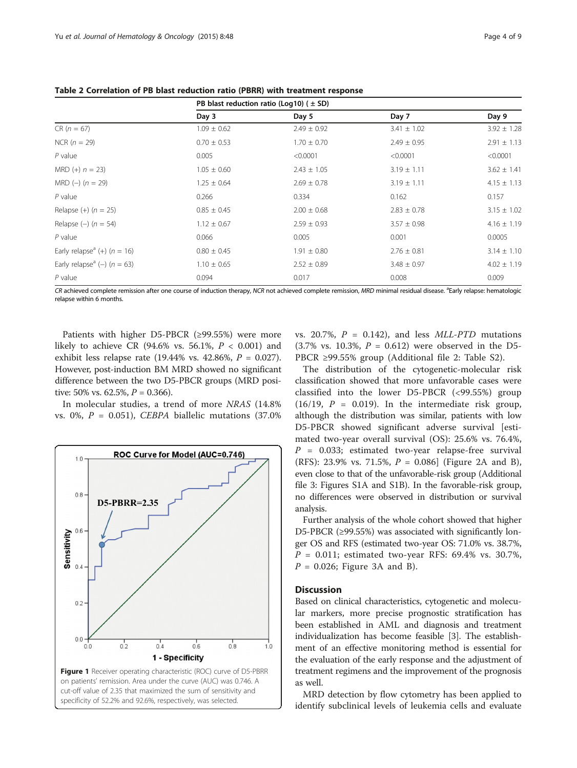|                                             | PB blast reduction ratio (Log10) ( $\pm$ SD) |                 |                 |                 |  |
|---------------------------------------------|----------------------------------------------|-----------------|-----------------|-----------------|--|
|                                             | Day 3                                        | Day 5           | Day 7           | Day 9           |  |
| $CR (n = 67)$                               | $1.09 \pm 0.62$                              | $2.49 \pm 0.92$ | $3.41 \pm 1.02$ | $3.92 \pm 1.28$ |  |
| $NCR (n = 29)$                              | $0.70 \pm 0.53$                              | $1.70 \pm 0.70$ | $2.49 \pm 0.95$ | $2.91 \pm 1.13$ |  |
| $P$ value                                   | 0.005                                        | < 0.0001        | < 0.0001        | < 0.0001        |  |
| MRD $(+) n = 23$                            | $1.05 \pm 0.60$                              | $2.43 \pm 1.05$ | $3.19 \pm 1.11$ | $3.62 \pm 1.41$ |  |
| $MRD (-) (n = 29)$                          | $1.25 \pm 0.64$                              | $2.69 \pm 0.78$ | $3.19 \pm 1.11$ | $4.15 \pm 1.13$ |  |
| $P$ value                                   | 0.266                                        | 0.334           | 0.162           | 0.157           |  |
| Relapse $(+)$ ( $n = 25$ )                  | $0.85 \pm 0.45$                              | $2.00 \pm 0.68$ | $2.83 \pm 0.78$ | $3.15 \pm 1.02$ |  |
| Relapse $(-)$ ( $n = 54$ )                  | $1.12 \pm 0.67$                              | $2.59 \pm 0.93$ | $3.57 \pm 0.98$ | $4.16 \pm 1.19$ |  |
| $P$ value                                   | 0.066                                        | 0.005           | 0.001           | 0.0005          |  |
| Early relapse <sup>a</sup> (+) ( $n = 16$ ) | $0.80 \pm 0.45$                              | $1.91 \pm 0.80$ | $2.76 \pm 0.81$ | $3.14 \pm 1.10$ |  |
| Early relapse <sup>a</sup> (-) ( $n = 63$ ) | $1.10 \pm 0.65$                              | $2.52 \pm 0.89$ | $3.48 \pm 0.97$ | $4.02 \pm 1.19$ |  |
| $P$ value                                   | 0.094                                        | 0.017           | 0.008           | 0.009           |  |

<span id="page-3-0"></span>Table 2 Correlation of PB blast reduction ratio (PBRR) with treatment response

CR achieved complete remission after one course of induction therapy, NCR not achieved complete remission, MRD minimal residual disease. <sup>a</sup>Early relapse: hematologic<br>relanse within 6 months relapse within 6 months.

Patients with higher D5-PBCR (≥99.55%) were more likely to achieve CR (94.6% vs. 56.1%,  $P < 0.001$ ) and exhibit less relapse rate (19.44% vs. 42.86%,  $P = 0.027$ ). However, post-induction BM MRD showed no significant difference between the two D5-PBCR groups (MRD positive: 50% vs. 62.5%,  $P = 0.366$ ).

In molecular studies, a trend of more NRAS (14.8% vs. 0%,  $P = 0.051$ ), CEBPA biallelic mutations (37.0%)



vs. 20.7%,  $P = 0.142$ , and less *MLL-PTD* mutations  $(3.7\% \text{ vs. } 10.3\%, P = 0.612)$  were observed in the D5-PBCR ≥99.55% group (Additional file [2](#page-6-0): Table S2).

The distribution of the cytogenetic-molecular risk classification showed that more unfavorable cases were classified into the lower D5-PBCR (<99.55%) group  $(16/19, P = 0.019)$ . In the intermediate risk group, although the distribution was similar, patients with low D5-PBCR showed significant adverse survival [estimated two-year overall survival (OS): 25.6% vs. 76.4%,  $P = 0.033$ ; estimated two-year relapse-free survival (RFS): [2](#page-4-0)3.9% vs. 71.5%,  $P = 0.086$  (Figure 2A and B), even close to that of the unfavorable-risk group (Additional file [3](#page-6-0): Figures S1A and S1B). In the favorable-risk group, no differences were observed in distribution or survival analysis.

Further analysis of the whole cohort showed that higher D5-PBCR (≥99.55%) was associated with significantly longer OS and RFS (estimated two-year OS: 71.0% vs. 38.7%,  $P = 0.011$ ; estimated two-year RFS: 69.4% vs. 30.7%,  $P = 0.026$ ; Figure [3](#page-4-0)A and B).

# **Discussion**

Based on clinical characteristics, cytogenetic and molecular markers, more precise prognostic stratification has been established in AML and diagnosis and treatment individualization has become feasible [\[3\]](#page-7-0). The establishment of an effective monitoring method is essential for the evaluation of the early response and the adjustment of treatment regimens and the improvement of the prognosis as well.

MRD detection by flow cytometry has been applied to identify subclinical levels of leukemia cells and evaluate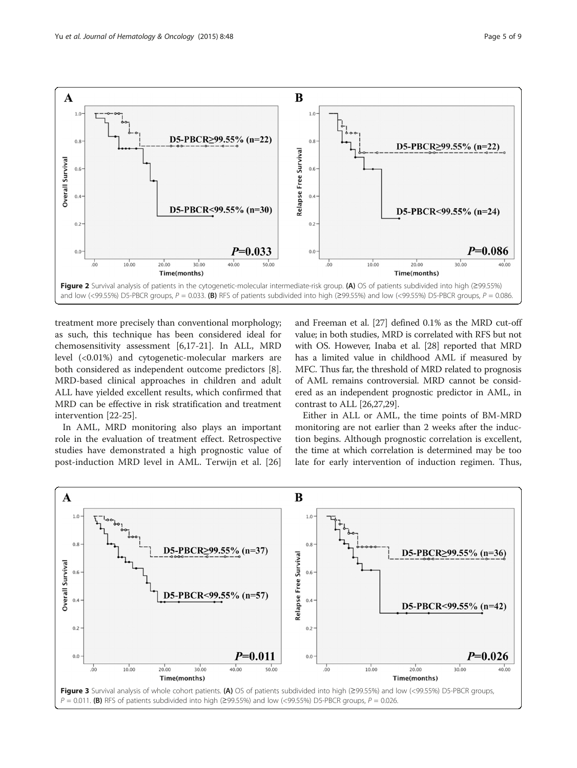<span id="page-4-0"></span>

treatment more precisely than conventional morphology; as such, this technique has been considered ideal for chemosensitivity assessment [\[6,17-21](#page-7-0)]. In ALL, MRD level (<0.01%) and cytogenetic-molecular markers are both considered as independent outcome predictors [\[8](#page-7-0)]. MRD-based clinical approaches in children and adult ALL have yielded excellent results, which confirmed that MRD can be effective in risk stratification and treatment intervention [[22-25](#page-7-0)].

In AML, MRD monitoring also plays an important role in the evaluation of treatment effect. Retrospective studies have demonstrated a high prognostic value of post-induction MRD level in AML. Terwijn et al. [\[26](#page-7-0)] and Freeman et al. [[27](#page-7-0)] defined 0.1% as the MRD cut-off value; in both studies, MRD is correlated with RFS but not with OS. However, Inaba et al. [\[28\]](#page-7-0) reported that MRD has a limited value in childhood AML if measured by MFC. Thus far, the threshold of MRD related to prognosis of AML remains controversial. MRD cannot be considered as an independent prognostic predictor in AML, in contrast to ALL [\[26,27,29](#page-7-0)].

Either in ALL or AML, the time points of BM-MRD monitoring are not earlier than 2 weeks after the induction begins. Although prognostic correlation is excellent, the time at which correlation is determined may be too late for early intervention of induction regimen. Thus,

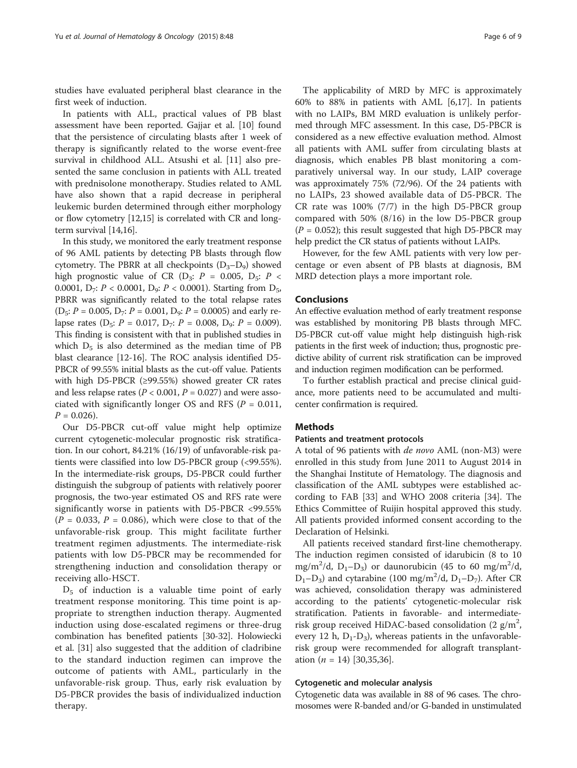studies have evaluated peripheral blast clearance in the first week of induction.

In patients with ALL, practical values of PB blast assessment have been reported. Gajjar et al. [[10](#page-7-0)] found that the persistence of circulating blasts after 1 week of therapy is significantly related to the worse event-free survival in childhood ALL. Atsushi et al. [[11](#page-7-0)] also presented the same conclusion in patients with ALL treated with prednisolone monotherapy. Studies related to AML have also shown that a rapid decrease in peripheral leukemic burden determined through either morphology or flow cytometry [\[12,15](#page-7-0)] is correlated with CR and longterm survival [\[14,16](#page-7-0)].

In this study, we monitored the early treatment response of 96 AML patients by detecting PB blasts through flow cytometry. The PBRR at all checkpoints  $(D_3-D_9)$  showed high prognostic value of CR ( $D_3$ :  $P = 0.005$ ,  $D_5$ :  $P <$ 0.0001,  $D_7$ :  $P < 0.0001$ ,  $D_9$ :  $P < 0.0001$ ). Starting from  $D_{5}$ , PBRR was significantly related to the total relapse rates  $(D_5: P = 0.005, D_7: P = 0.001, D_9: P = 0.0005)$  and early relapse rates (D<sub>5</sub>:  $P = 0.017$ , D<sub>7</sub>:  $P = 0.008$ , D<sub>9</sub>:  $P = 0.009$ ). This finding is consistent with that in published studies in which  $D_5$  is also determined as the median time of PB blast clearance [[12](#page-7-0)-[16](#page-7-0)]. The ROC analysis identified D5- PBCR of 99.55% initial blasts as the cut-off value. Patients with high D5-PBCR (≥99.55%) showed greater CR rates and less relapse rates ( $P < 0.001$ ,  $P = 0.027$ ) and were associated with significantly longer OS and RFS ( $P = 0.011$ ,  $P = 0.026$ .

Our D5-PBCR cut-off value might help optimize current cytogenetic-molecular prognostic risk stratification. In our cohort, 84.21% (16/19) of unfavorable-risk patients were classified into low D5-PBCR group (<99.55%). In the intermediate-risk groups, D5-PBCR could further distinguish the subgroup of patients with relatively poorer prognosis, the two-year estimated OS and RFS rate were significantly worse in patients with D5-PBCR <99.55%  $(P = 0.033, P = 0.086)$ , which were close to that of the unfavorable-risk group. This might facilitate further treatment regimen adjustments. The intermediate-risk patients with low D5-PBCR may be recommended for strengthening induction and consolidation therapy or receiving allo-HSCT.

 $D_5$  of induction is a valuable time point of early treatment response monitoring. This time point is appropriate to strengthen induction therapy. Augmented induction using dose-escalated regimens or three-drug combination has benefited patients [\[30-32\]](#page-7-0). Holowiecki et al. [\[31\]](#page-7-0) also suggested that the addition of cladribine to the standard induction regimen can improve the outcome of patients with AML, particularly in the unfavorable-risk group. Thus, early risk evaluation by D5-PBCR provides the basis of individualized induction therapy.

The applicability of MRD by MFC is approximately 60% to 88% in patients with AML [\[6,17](#page-7-0)]. In patients with no LAIPs, BM MRD evaluation is unlikely performed through MFC assessment. In this case, D5-PBCR is considered as a new effective evaluation method. Almost all patients with AML suffer from circulating blasts at diagnosis, which enables PB blast monitoring a comparatively universal way. In our study, LAIP coverage was approximately 75% (72/96). Of the 24 patients with no LAIPs, 23 showed available data of D5-PBCR. The CR rate was 100% (7/7) in the high D5-PBCR group compared with 50% (8/16) in the low D5-PBCR group  $(P = 0.052)$ ; this result suggested that high D5-PBCR may help predict the CR status of patients without LAIPs.

However, for the few AML patients with very low percentage or even absent of PB blasts at diagnosis, BM MRD detection plays a more important role.

# Conclusions

An effective evaluation method of early treatment response was established by monitoring PB blasts through MFC. D5-PBCR cut-off value might help distinguish high-risk patients in the first week of induction; thus, prognostic predictive ability of current risk stratification can be improved and induction regimen modification can be performed.

To further establish practical and precise clinical guidance, more patients need to be accumulated and multicenter confirmation is required.

#### Methods

#### Patients and treatment protocols

A total of 96 patients with de novo AML (non-M3) were enrolled in this study from June 2011 to August 2014 in the Shanghai Institute of Hematology. The diagnosis and classification of the AML subtypes were established according to FAB [\[33](#page-8-0)] and WHO 2008 criteria [\[34\]](#page-8-0). The Ethics Committee of Ruijin hospital approved this study. All patients provided informed consent according to the Declaration of Helsinki.

All patients received standard first-line chemotherapy. The induction regimen consisted of idarubicin (8 to 10 mg/m<sup>2</sup>/d, D<sub>1</sub>-D<sub>3</sub>) or daunorubicin (45 to 60 mg/m<sup>2</sup>/d,  $D_1 - D_3$ ) and cytarabine (100 mg/m<sup>2</sup>/d,  $D_1 - D_7$ ). After CR was achieved, consolidation therapy was administered according to the patients' cytogenetic-molecular risk stratification. Patients in favorable- and intermediaterisk group received HiDAC-based consolidation (2  $g/m^2$ , every 12 h,  $D_1 - D_3$ , whereas patients in the unfavorablerisk group were recommended for allograft transplantation  $(n = 14)$  [\[30](#page-7-0),[35,36](#page-8-0)].

# Cytogenetic and molecular analysis

Cytogenetic data was available in 88 of 96 cases. The chromosomes were R-banded and/or G-banded in unstimulated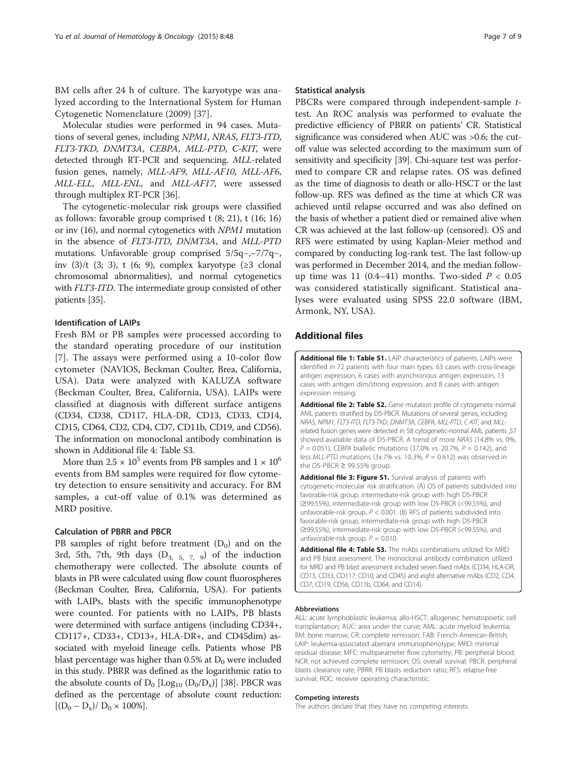<span id="page-6-0"></span>BM cells after 24 h of culture. The karyotype was analyzed according to the International System for Human Cytogenetic Nomenclature (2009) [\[37](#page-8-0)].

Molecular studies were performed in 94 cases. Mutations of several genes, including NPM1, NRAS, FLT3-ITD, FLT3-TKD, DNMT3A, CEBPA, MLL-PTD, C-KIT, were detected through RT-PCR and sequencing. MLL-related fusion genes, namely, MLL-AF9, MLL-AF10, MLL-AF6, MLL-ELL, MLL-ENL, and MLL-AF17, were assessed through multiplex RT-PCR [[36\]](#page-8-0).

The cytogenetic-molecular risk groups were classified as follows: favorable group comprised t (8; 21), t (16; 16) or inv (16), and normal cytogenetics with NPM1 mutation in the absence of FLT3-ITD, DNMT3A, and MLL-PTD mutations. Unfavorable group comprised 5/5q−,−7/7q−, inv  $(3)/t$   $(3; 3)$ , t  $(6; 9)$ , complex karyotype  $(23 \text{ clonal})$ chromosomal abnormalities), and normal cytogenetics with FLT3-ITD. The intermediate group consisted of other patients [[35\]](#page-8-0).

# Identification of LAIPs

Fresh BM or PB samples were processed according to the standard operating procedure of our institution [[7\]](#page-7-0). The assays were performed using a 10-color flow cytometer (NAVIOS, Beckman Coulter, Brea, California, USA). Data were analyzed with KALUZA software (Beckman Coulter, Brea, California, USA). LAIPs were classified at diagnosis with different surface antigens (CD34, CD38, CD117, HLA-DR, CD13, CD33, CD14, CD15, CD64, CD2, CD4, CD7, CD11b, CD19, and CD56). The information on monoclonal antibody combination is shown in Additional file 4: Table S3.

More than  $2.5 \times 10^5$  events from PB samples and  $1 \times 10^6$ events from BM samples were required for flow cytometry detection to ensure sensitivity and accuracy. For BM samples, a cut-off value of 0.1% was determined as MRD positive.

# Calculation of PBRR and PBCR

PB samples of right before treatment  $(D_0)$  and on the 3rd, 5th, 7th, 9th days  $(D_{3, 5, 7, 9})$  of the induction chemotherapy were collected. The absolute counts of blasts in PB were calculated using flow count fluorospheres (Beckman Coulter, Brea, California, USA). For patients with LAIPs, blasts with the specific immunophenotype were counted. For patients with no LAIPs, PB blasts were determined with surface antigens (including CD34+, CD117+, CD33+, CD13+, HLA-DR+, and CD45dim) associated with myeloid lineage cells. Patients whose PB blast percentage was higher than  $0.5\%$  at  $D_0$  were included in this study. PBRR was defined as the logarithmic ratio to the absolute counts of  $D_0$  [Log<sub>10</sub> (D<sub>0</sub>/D<sub>x</sub>)] [\[38\]](#page-8-0). PBCR was defined as the percentage of absolute count reduction:  $[(D_0 - D_x)/D_0 \times 100\%].$ 

#### Statistical analysis

PBCRs were compared through independent-sample ttest. An ROC analysis was performed to evaluate the predictive efficiency of PBRR on patients' CR. Statistical significance was considered when AUC was >0.6; the cutoff value was selected according to the maximum sum of sensitivity and specificity [[39](#page-8-0)]. Chi-square test was performed to compare CR and relapse rates. OS was defined as the time of diagnosis to death or allo-HSCT or the last follow-up. RFS was defined as the time at which CR was achieved until relapse occurred and was also defined on the basis of whether a patient died or remained alive when CR was achieved at the last follow-up (censored). OS and RFS were estimated by using Kaplan-Meier method and compared by conducting log-rank test. The last follow-up was performed in December 2014, and the median followup time was 11 (0.4–41) months. Two-sided  $P < 0.05$ was considered statistically significant. Statistical analyses were evaluated using SPSS 22.0 software (IBM, Armonk, NY, USA).

# Additional files

[Additional file 1: Table S1.](http://www.jhoonline.org/content/supplementary/s13045-015-0145-1-s1.docx) LAIP characteristics of patients. LAIPs were identified in 72 patients with four main types: 63 cases with cross-lineage antigen expression, 6 cases with asynchronous antigen expression, 13 cases with antigen dim/strong expression, and 8 cases with antigen expression missing.

[Additional file 2: Table S2.](http://www.jhoonline.org/content/supplementary/s13045-015-0145-1-s2.docx) Gene mutation profile of cytogenetic-normal AML patients stratified by D5-PBCR. Mutations of several genes, including NRAS, NPM1, FLT3-ITD, FLT3-TKD, DNMT3A, CEBPA, MLL-PTD, C-KIT, and MLLrelated fusion genes were detected in 58 cytogenetic-normal AML patients ,57 showed available data of D5-PBCR. A trend of more NRAS (14.8% vs. 0%,  $P = 0.051$ , CEBPA biallelic mutations (37.0% vs. 20.7%,  $P = 0.142$ ), and less MLL-PTD mutations (3x.7% vs. 10.3%,  $P = 0.612$ ) was observed in the D5-PBCR  $\geq$  99.55% group.

[Additional file 3: Figure S1.](http://www.jhoonline.org/content/supplementary/s13045-015-0145-1-s3.tif) Survival analysis of patients with cytogenetic-molecular risk stratification. (A) OS of patients subdivided into favorable-risk group, intermediate-risk group with high D5-PBCR (≥99.55%), intermediate-risk group with low D5-PBCR (<99.55%), and unfavorable-risk group,  $P < 0.001$ . (B) RFS of patients subdivided into favorable-risk group, intermediate-risk group with high D5-PBCR (≥99.55%), intermediate-risk group with low D5-PBCR (<99.55%), and unfavorable-risk group,  $P = 0.010$ .

[Additional file 4: Table S3.](http://www.jhoonline.org/content/supplementary/s13045-015-0145-1-s4.docx) The mAbs combinations utilized for MRD and PB blast assessment. The monoclonal antibody combination utilized for MRD and PB blast assessment included seven fixed mAbs (CD34, HLA-DR, CD13, CD33, CD117, CD10, and CD45) and eight alternative mAbs (CD2, CD4, CD7, CD19, CD56, CD11b, CD64, and CD14).

#### Abbreviations

ALL: acute lymphoblastic leukemia; allo-HSCT: allogeneic hematopoietic cell transplantation; AUC: area under the curve; AML: acute myeloid leukemia; BM: bone marrow; CR: complete remission; FAB: French-American-British; LAIP: leukemia-associated aberrant immunophenotype; MRD: minimal residual disease; MFC: multiparameter flow cytometry; PB: peripheral blood; NCR: not achieved complete remission; OS: overall survival; PBCR: peripheral blasts clearance rate; PBRR: PB blasts reduction ratio; RFS: relapse-free survival; ROC: receiver operating characteristic.

#### Competing interests

The authors declare that they have no competing interests.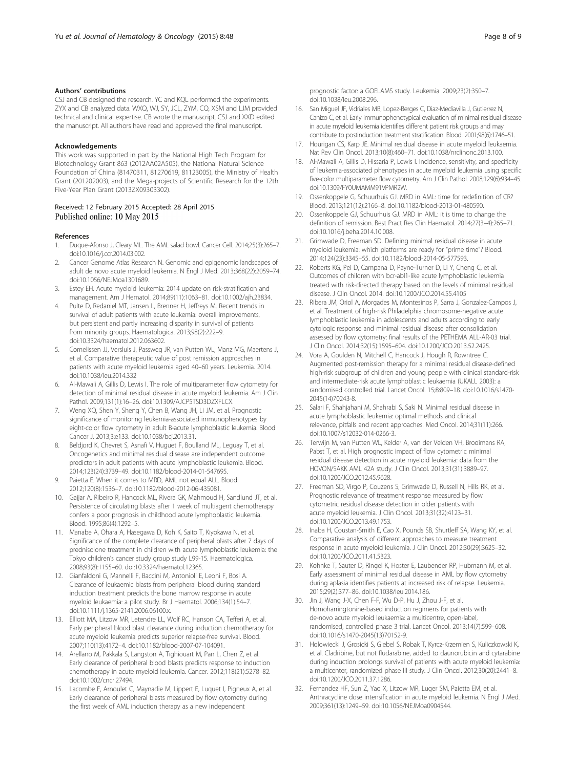#### <span id="page-7-0"></span>Authors' contributions

CSJ and CB designed the research. YC and KQL performed the experiments. ZYX and CB analyzed data. WXQ, WJ, SY, JCL, ZYM, CQ, XSM and LJM provided technical and clinical expertise. CB wrote the manuscript. CSJ and XXD edited the manuscript. All authors have read and approved the final manuscript.

#### Acknowledgements

This work was supported in part by the National High Tech Program for Biotechnology Grant 863 (2012AA02A505), the National Natural Science Foundation of China (81470311, 81270619, 81123005), the Ministry of Health Grant (201202003), and the Mega-projects of Scientific Research for the 12th Five-Year Plan Grant (2013ZX09303302).

### Received: 12 February 2015 Accepted: 28 April 2015 Published online: 10 May 2015

#### References

- Duque-Afonso J, Cleary ML. The AML salad bowl. Cancer Cell. 2014;25(3):265-7. doi:10.1016/j.ccr.2014.03.002.
- 2. Cancer Genome Atlas Research N. Genomic and epigenomic landscapes of adult de novo acute myeloid leukemia. N Engl J Med. 2013;368(22):2059–74. doi:10.1056/NEJMoa1301689.
- 3. Estey EH. Acute myeloid leukemia: 2014 update on risk-stratification and management. Am J Hematol. 2014;89(11):1063–81. doi:10.1002/ajh.23834.
- 4. Pulte D, Redaniel MT, Jansen L, Brenner H, Jeffreys M. Recent trends in survival of adult patients with acute leukemia: overall improvements, but persistent and partly increasing disparity in survival of patients from minority groups. Haematologica. 2013;98(2):222–9. doi:10.3324/haematol.2012.063602.
- 5. Cornelissen JJ, Versluis J, Passweg JR, van Putten WL, Manz MG, Maertens J, et al. Comparative therapeutic value of post remission approaches in patients with acute myeloid leukemia aged 40–60 years. Leukemia. 2014. doi:10.1038/leu.2014.332
- 6. Al-Mawali A, Gillis D, Lewis I. The role of multiparameter flow cytometry for detection of minimal residual disease in acute myeloid leukemia. Am J Clin Pathol. 2009;131(1):16–26. doi:10.1309/AJCP5TSD3DZXFLCX.
- 7. Weng XQ, Shen Y, Sheng Y, Chen B, Wang JH, Li JM, et al. Prognostic significance of monitoring leukemia-associated immunophenotypes by eight-color flow cytometry in adult B-acute lymphoblastic leukemia. Blood Cancer J. 2013;3:e133. doi:10.1038/bcj.2013.31.
- 8. Beldjord K, Chevret S, Asnafi V, Huguet F, Boulland ML, Leguay T, et al. Oncogenetics and minimal residual disease are independent outcome predictors in adult patients with acute lymphoblastic leukemia. Blood. 2014;123(24):3739–49. doi:10.1182/blood-2014-01-547695.
- 9. Paietta E. When it comes to MRD, AML not equal ALL. Blood. 2012;120(8):1536–7. doi:10.1182/blood-2012-06-435081.
- 10. Gajjar A, Ribeiro R, Hancock ML, Rivera GK, Mahmoud H, Sandlund JT, et al. Persistence of circulating blasts after 1 week of multiagent chemotherapy confers a poor prognosis in childhood acute lymphoblastic leukemia. Blood. 1995;86(4):1292–5.
- 11. Manabe A, Ohara A, Hasegawa D, Koh K, Saito T, Kiyokawa N, et al. Significance of the complete clearance of peripheral blasts after 7 days of prednisolone treatment in children with acute lymphoblastic leukemia: the Tokyo children's cancer study group study L99-15. Haematologica. 2008;93(8):1155–60. doi:10.3324/haematol.12365.
- 12. Gianfaldoni G, Mannelli F, Baccini M, Antonioli E, Leoni F, Bosi A. Clearance of leukaemic blasts from peripheral blood during standard induction treatment predicts the bone marrow response in acute myeloid leukaemia: a pilot study. Br J Haematol. 2006;134(1):54–7. doi:10.1111/j.1365-2141.2006.06100.x.
- 13. Elliott MA, Litzow MR, Letendre LL, Wolf RC, Hanson CA, Tefferi A, et al. Early peripheral blood blast clearance during induction chemotherapy for acute myeloid leukemia predicts superior relapse-free survival. Blood. 2007;110(13):4172–4. doi:10.1182/blood-2007-07-104091.
- 14. Arellano M, Pakkala S, Langston A, Tighiouart M, Pan L, Chen Z, et al. Early clearance of peripheral blood blasts predicts response to induction chemotherapy in acute myeloid leukemia. Cancer. 2012;118(21):5278–82. doi:10.1002/cncr.27494.
- 15. Lacombe F, Arnoulet C, Maynadie M, Lippert E, Luquet I, Pigneux A, et al. Early clearance of peripheral blasts measured by flow cytometry during the first week of AML induction therapy as a new independent

prognostic factor: a GOELAMS study. Leukemia. 2009;23(2):350–7. doi:10.1038/leu.2008.296.

- 16. San Miguel JF, Vidriales MB, Lopez-Berges C, Diaz-Mediavilla J, Gutierrez N, Canizo C, et al. Early immunophenotypical evaluation of minimal residual disease in acute myeloid leukemia identifies different patient risk groups and may contribute to postinduction treatment stratification. Blood. 2001;98(6):1746–51.
- 17. Hourigan CS, Karp JE. Minimal residual disease in acute myeloid leukaemia. Nat Rev Clin Oncol. 2013;10(8):460–71. doi:10.1038/nrclinonc.2013.100.
- 18. Al-Mawali A, Gillis D, Hissaria P, Lewis I. Incidence, sensitivity, and specificity of leukemia-associated phenotypes in acute myeloid leukemia using specific five-color multiparameter flow cytometry. Am J Clin Pathol. 2008;129(6):934–45. doi:10.1309/FY0UMAMM91VPMR2W.
- 19. Ossenkoppele G, Schuurhuis GJ. MRD in AML: time for redefinition of CR? Blood. 2013;121(12):2166–8. doi:10.1182/blood-2013-01-480590.
- 20. Ossenkoppele GJ, Schuurhuis GJ. MRD in AML: it is time to change the definition of remission. Best Pract Res Clin Haematol. 2014;27(3–4):265–71. doi:10.1016/j.beha.2014.10.008.
- 21. Grimwade D, Freeman SD. Defining minimal residual disease in acute myeloid leukemia: which platforms are ready for "prime time"? Blood. 2014;124(23):3345–55. doi:10.1182/blood-2014-05-577593.
- 22. Roberts KG, Pei D, Campana D, Payne-Turner D, Li Y, Cheng C, et al. Outcomes of children with bcr-abl1-like acute lymphoblastic leukemia treated with risk-directed therapy based on the levels of minimal residual disease. J Clin Oncol. 2014. doi:10.1200/JCO.2014.55.4105
- 23. Ribera JM, Oriol A, Morgades M, Montesinos P, Sarra J, Gonzalez-Campos J, et al. Treatment of high-risk Philadelphia chromosome-negative acute lymphoblastic leukemia in adolescents and adults according to early cytologic response and minimal residual disease after consolidation assessed by flow cytometry: final results of the PETHEMA ALL-AR-03 trial. J Clin Oncol. 2014;32(15):1595–604. doi:10.1200/JCO.2013.52.2425.
- 24. Vora A, Goulden N, Mitchell C, Hancock J, Hough R, Rowntree C. Augmented post-remission therapy for a minimal residual disease-defined high-risk subgroup of children and young people with clinical standard-risk and intermediate-risk acute lymphoblastic leukaemia (UKALL 2003): a randomised controlled trial. Lancet Oncol. 15;8:809–18. doi:10.1016/s1470- 2045(14)70243-8.
- 25. Salari F, Shahjahani M, Shahrabi S, Saki N. Minimal residual disease in acute lymphoblastic leukemia: optimal methods and clinical relevance, pitfalls and recent approaches. Med Oncol. 2014;31(11):266. doi:10.1007/s12032-014-0266-3.
- 26. Terwijn M, van Putten WL, Kelder A, van der Velden VH, Brooimans RA, Pabst T, et al. High prognostic impact of flow cytometric minimal residual disease detection in acute myeloid leukemia: data from the HOVON/SAKK AML 42A study. J Clin Oncol. 2013;31(31):3889–97. doi:10.1200/JCO.2012.45.9628.
- 27. Freeman SD, Virgo P, Couzens S, Grimwade D, Russell N, Hills RK, et al. Prognostic relevance of treatment response measured by flow cytometric residual disease detection in older patients with acute myeloid leukemia. J Clin Oncol. 2013;31(32):4123–31. doi:10.1200/JCO.2013.49.1753.
- 28. Inaba H, Coustan-Smith E, Cao X, Pounds SB, Shurtleff SA, Wang KY, et al. Comparative analysis of different approaches to measure treatment response in acute myeloid leukemia. J Clin Oncol. 2012;30(29):3625–32. doi:10.1200/JCO.2011.41.5323.
- 29. Kohnke T, Sauter D, Ringel K, Hoster E, Laubender RP, Hubmann M, et al. Early assessment of minimal residual disease in AML by flow cytometry during aplasia identifies patients at increased risk of relapse. Leukemia. 2015;29(2):377–86. doi:10.1038/leu.2014.186.
- 30. Jin J, Wang J-X, Chen F-F, Wu D-P, Hu J, Zhou J-F, et al. Homoharringtonine-based induction regimens for patients with de-novo acute myeloid leukaemia: a multicentre, open-label, randomised, controlled phase 3 trial. Lancet Oncol. 2013;14(7):599–608. doi:10.1016/s1470-2045(13)70152-9.
- 31. Holowiecki J, Grosicki S, Giebel S, Robak T, Kyrcz-Krzemien S, Kuliczkowski K, et al. Cladribine, but not fludarabine, added to daunorubicin and cytarabine during induction prolongs survival of patients with acute myeloid leukemia: a multicenter, randomized phase III study. J Clin Oncol. 2012;30(20):2441–8. doi:10.1200/JCO.2011.37.1286.
- 32. Fernandez HF, Sun Z, Yao X, Litzow MR, Luger SM, Paietta EM, et al. Anthracycline dose intensification in acute myeloid leukemia. N Engl J Med. 2009;361(13):1249–59. doi:10.1056/NEJMoa0904544.